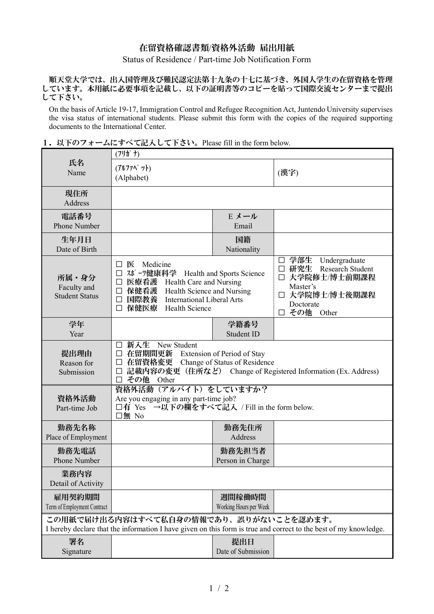## 在留資格確認書類/資格外活動 届出用紙

Status of Residence / Part-time Job Notification Form

順天堂大学では、出入国管理及び難民認定法第十九条の十七に基づき、外国人学生の在留資格を管理 しています。本用紙に必要事項を記載し、以下の証明書等のコピーを貼って国際交流センターまで提出 して下さい。

On the basis of Article 19-17, Immigration Control and Refugee Recognition Act, Juntendo University supervises the visa status of international students. Please submit this form with the copies of the required supporting documents to the International Center.

|                                                                                                                                                            | $(7!)$ $f$ $f$ )                                                                                                                                                                                                                 |                                  |                                                                                                                                      |
|------------------------------------------------------------------------------------------------------------------------------------------------------------|----------------------------------------------------------------------------------------------------------------------------------------------------------------------------------------------------------------------------------|----------------------------------|--------------------------------------------------------------------------------------------------------------------------------------|
| 氏名<br>Name                                                                                                                                                 | (アルファベット)<br>(Alphabet)                                                                                                                                                                                                          |                                  | (漢字)                                                                                                                                 |
| 現住所<br>Address                                                                                                                                             |                                                                                                                                                                                                                                  |                                  |                                                                                                                                      |
| 電話番号<br>Phone Number                                                                                                                                       |                                                                                                                                                                                                                                  | E メール<br>Email                   |                                                                                                                                      |
| 生年月日<br>Date of Birth                                                                                                                                      |                                                                                                                                                                                                                                  | 国籍<br>Nationality                |                                                                                                                                      |
| 所属・身分<br>Faculty and<br><b>Student Status</b>                                                                                                              | 医<br>Medicine<br>$\Box$<br>□ スポーツ健康科学 Health and Sports Science<br>医療看護 Health Care and Nursing<br>$\Box$<br>保健看護<br>Health Science and Nursing<br>国際教養<br>International Liberal Arts<br>$\Box$<br>保健医療<br><b>Health Science</b> |                                  | □ 学部生 Undergraduate<br>□ 研究生 Research Student<br>□ 大学院修士/博士前期課程<br>Master's<br>□ 大学院博士/博士後期課程<br>Doctorate<br>その他<br>Other<br>$\Box$ |
| 学年<br>Year                                                                                                                                                 |                                                                                                                                                                                                                                  | 学籍番号<br>Student ID               |                                                                                                                                      |
| 提出理由<br>Reason for<br>Submission                                                                                                                           | 新入生 New Student<br>$\Box$<br>在留期間更新 Extension of Period of Stay<br>□<br>在留資格変更 Change of Status of Residence<br>□<br>記載内容の変更 (住所など) Change of Registered Information (Ex. Address)<br>□<br>その他<br>Other<br>П                     |                                  |                                                                                                                                      |
| 資格外活動<br>Part-time Job                                                                                                                                     | 資格外活動 (アルバイト) をしていますか?<br>Are you engaging in any part-time job?<br>□有 Yes →以下の欄をすべて記入 / Fill in the form below.<br>口無 No                                                                                                        |                                  |                                                                                                                                      |
| 勤務先名称<br>Place of Employment                                                                                                                               |                                                                                                                                                                                                                                  | 勤務先住所<br>Address                 |                                                                                                                                      |
| 勤務先電話<br>Phone Number                                                                                                                                      |                                                                                                                                                                                                                                  | 勤務先担当者<br>Person in Charge       |                                                                                                                                      |
| 業務内容<br>Detail of Activity                                                                                                                                 |                                                                                                                                                                                                                                  |                                  |                                                                                                                                      |
| 雇用契約期間<br>Term of Employment Contract                                                                                                                      |                                                                                                                                                                                                                                  | 週間稼働時間<br>Working Hours per Week |                                                                                                                                      |
| この用紙で届け出る内容はすべて私自身の情報であり、誤りがないことを認めます。<br>I hereby declare that the information I have given on this form is true and correct to the best of my knowledge. |                                                                                                                                                                                                                                  |                                  |                                                                                                                                      |
| 署名<br>Signature                                                                                                                                            |                                                                                                                                                                                                                                  | 提出日<br>Date of Submission        |                                                                                                                                      |

1. 以下のフォームにすべて記入して下さい。Please fill in the form below.